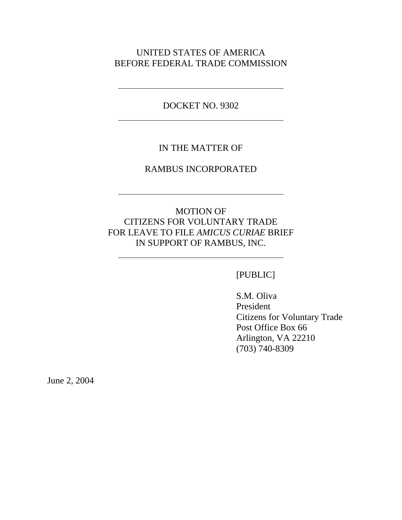## UNITED STATES OF AMERICA BEFORE FEDERAL TRADE COMMISSION

DOCKET NO. 9302

 $\overline{a}$ 

 $\overline{a}$ 

## IN THE MATTER OF

### RAMBUS INCORPORATED

# MOTION OF CITIZENS FOR VOLUNTARY TRADE FOR LEAVE TO FILE *AMICUS CURIAE* BRIEF IN SUPPORT OF RAMBUS, INC.

#### [PUBLIC]

S.M. Oliva President Citizens for Voluntary Trade Post Office Box 66 Arlington, VA 22210 (703) 740-8309

June 2, 2004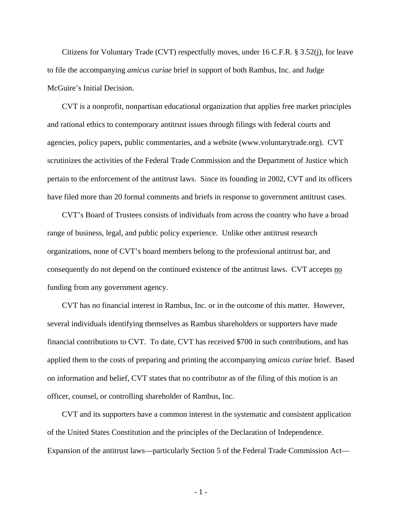Citizens for Voluntary Trade (CVT) respectfully moves, under 16 C.F.R. § 3.52(j), for leave to file the accompanying *amicus curiae* brief in support of both Rambus, Inc. and Judge McGuire's Initial Decision.

CVT is a nonprofit, nonpartisan educational organization that applies free market principles and rational ethics to contemporary antitrust issues through filings with federal courts and agencies, policy papers, public commentaries, and a website (www.voluntarytrade.org). CVT scrutinizes the activities of the Federal Trade Commission and the Department of Justice which pertain to the enforcement of the antitrust laws. Since its founding in 2002, CVT and its officers have filed more than 20 formal comments and briefs in response to government antitrust cases.

CVT's Board of Trustees consists of individuals from across the country who have a broad range of business, legal, and public policy experience. Unlike other antitrust research organizations, none of CVT's board members belong to the professional antitrust bar, and consequently do not depend on the continued existence of the antitrust laws. CVT accepts no funding from any government agency.

CVT has no financial interest in Rambus, Inc. or in the outcome of this matter. However, several individuals identifying themselves as Rambus shareholders or supporters have made financial contributions to CVT. To date, CVT has received \$700 in such contributions, and has applied them to the costs of preparing and printing the accompanying *amicus curiae* brief. Based on information and belief, CVT states that no contributor as of the filing of this motion is an officer, counsel, or controlling shareholder of Rambus, Inc.

CVT and its supporters have a common interest in the systematic and consistent application of the United States Constitution and the principles of the Declaration of Independence. Expansion of the antitrust laws—particularly Section 5 of the Federal Trade Commission Act—

- 1 -